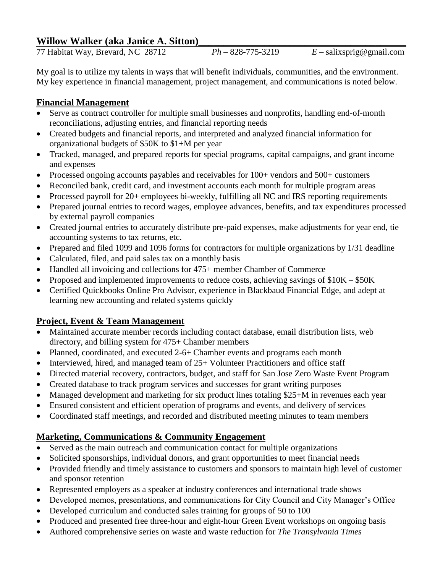# Willow Walker (aka Janice A. Sitton)

77 Habitat Way, Brevard, NC 28712 *Ph –* 828-775-3219 *E* – salixsprig@gmail.com

My goal is to utilize my talents in ways that will benefit individuals, communities, and the environment. My key experience in financial management, project management, and communications is noted below.

## **Financial Management**

- Serve as contract controller for multiple small businesses and nonprofits, handling end-of-month reconciliations, adjusting entries, and financial reporting needs
- Created budgets and financial reports, and interpreted and analyzed financial information for organizational budgets of \$50K to \$1+M per year
- Tracked, managed, and prepared reports for special programs, capital campaigns, and grant income and expenses
- Processed ongoing accounts payables and receivables for 100+ vendors and 500+ customers
- Reconciled bank, credit card, and investment accounts each month for multiple program areas
- Processed payroll for 20+ employees bi-weekly, fulfilling all NC and IRS reporting requirements
- Prepared journal entries to record wages, employee advances, benefits, and tax expenditures processed by external payroll companies
- Created journal entries to accurately distribute pre-paid expenses, make adjustments for year end, tie accounting systems to tax returns, etc.
- Prepared and filed 1099 and 1096 forms for contractors for multiple organizations by 1/31 deadline
- Calculated, filed, and paid sales tax on a monthly basis
- Handled all invoicing and collections for 475+ member Chamber of Commerce
- Proposed and implemented improvements to reduce costs, achieving savings of  $$10K $50K$
- Certified Quickbooks Online Pro Advisor, experience in Blackbaud Financial Edge, and adept at learning new accounting and related systems quickly

# **Project, Event & Team Management**

- Maintained accurate member records including contact database, email distribution lists, web directory, and billing system for 475+ Chamber members
- Planned, coordinated, and executed 2-6+ Chamber events and programs each month
- Interviewed, hired, and managed team of  $25+$  Volunteer Practitioners and office staff
- Directed material recovery, contractors, budget, and staff for San Jose Zero Waste Event Program
- Created database to track program services and successes for grant writing purposes
- Managed development and marketing for six product lines totaling \$25+M in revenues each year
- Ensured consistent and efficient operation of programs and events, and delivery of services
- Coordinated staff meetings, and recorded and distributed meeting minutes to team members

# **Marketing, Communications & Community Engagement**

- Served as the main outreach and communication contact for multiple organizations
- Solicited sponsorships, individual donors, and grant opportunities to meet financial needs
- Provided friendly and timely assistance to customers and sponsors to maintain high level of customer and sponsor retention
- Represented employers as a speaker at industry conferences and international trade shows
- Developed memos, presentations, and communications for City Council and City Manager's Office
- Developed curriculum and conducted sales training for groups of 50 to 100
- Produced and presented free three-hour and eight-hour Green Event workshops on ongoing basis
- Authored comprehensive series on waste and waste reduction for *The Transylvania Times*